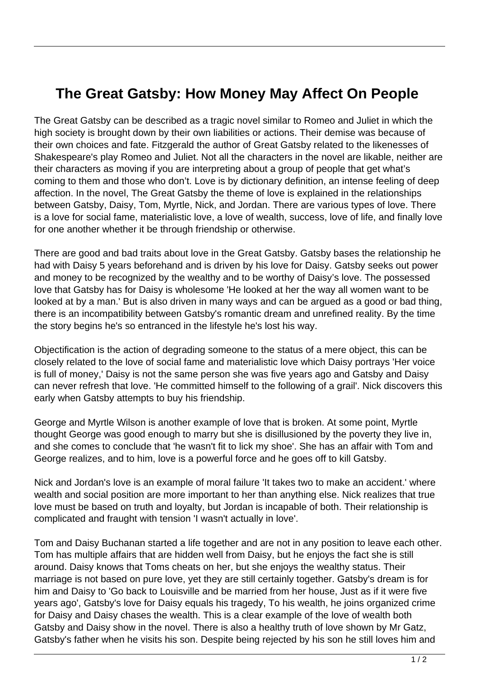## **The Great Gatsby: How Money May Affect On People**

The Great Gatsby can be described as a tragic novel similar to Romeo and Juliet in which the high society is brought down by their own liabilities or actions. Their demise was because of their own choices and fate. Fitzgerald the author of Great Gatsby related to the likenesses of Shakespeare's play Romeo and Juliet. Not all the characters in the novel are likable, neither are their characters as moving if you are interpreting about a group of people that get what's coming to them and those who don't. Love is by dictionary definition, an intense feeling of deep affection. In the novel, The Great Gatsby the theme of love is explained in the relationships between Gatsby, Daisy, Tom, Myrtle, Nick, and Jordan. There are various types of love. There is a love for social fame, materialistic love, a love of wealth, success, love of life, and finally love for one another whether it be through friendship or otherwise.

There are good and bad traits about love in the Great Gatsby. Gatsby bases the relationship he had with Daisy 5 years beforehand and is driven by his love for Daisy. Gatsby seeks out power and money to be recognized by the wealthy and to be worthy of Daisy's love. The possessed love that Gatsby has for Daisy is wholesome 'He looked at her the way all women want to be looked at by a man.' But is also driven in many ways and can be argued as a good or bad thing, there is an incompatibility between Gatsby's romantic dream and unrefined reality. By the time the story begins he's so entranced in the lifestyle he's lost his way.

Objectification is the action of degrading someone to the status of a mere object, this can be closely related to the love of social fame and materialistic love which Daisy portrays 'Her voice is full of money,' Daisy is not the same person she was five years ago and Gatsby and Daisy can never refresh that love. 'He committed himself to the following of a grail'. Nick discovers this early when Gatsby attempts to buy his friendship.

George and Myrtle Wilson is another example of love that is broken. At some point, Myrtle thought George was good enough to marry but she is disillusioned by the poverty they live in, and she comes to conclude that 'he wasn't fit to lick my shoe'. She has an affair with Tom and George realizes, and to him, love is a powerful force and he goes off to kill Gatsby.

Nick and Jordan's love is an example of moral failure 'It takes two to make an accident.' where wealth and social position are more important to her than anything else. Nick realizes that true love must be based on truth and loyalty, but Jordan is incapable of both. Their relationship is complicated and fraught with tension 'I wasn't actually in love'.

Tom and Daisy Buchanan started a life together and are not in any position to leave each other. Tom has multiple affairs that are hidden well from Daisy, but he enjoys the fact she is still around. Daisy knows that Toms cheats on her, but she enjoys the wealthy status. Their marriage is not based on pure love, yet they are still certainly together. Gatsby's dream is for him and Daisy to 'Go back to Louisville and be married from her house, Just as if it were five years ago', Gatsby's love for Daisy equals his tragedy, To his wealth, he joins organized crime for Daisy and Daisy chases the wealth. This is a clear example of the love of wealth both Gatsby and Daisy show in the novel. There is also a healthy truth of love shown by Mr Gatz, Gatsby's father when he visits his son. Despite being rejected by his son he still loves him and